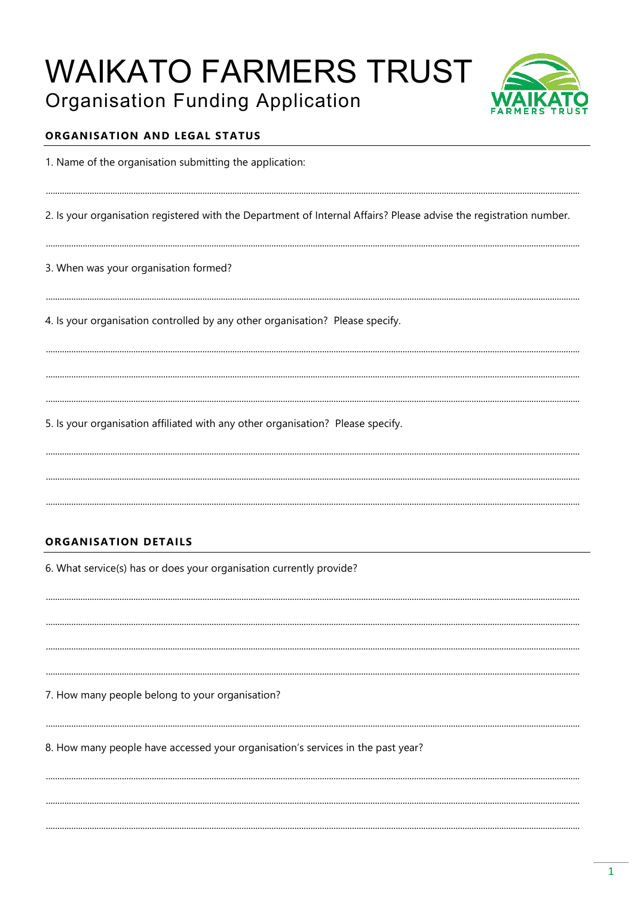# **WAIKATO FARMERS TRUST**



# **Organisation Funding Application**

# ORGANISATION AND LEGAL STATUS

1. Name of the organisation submitting the application:

2. Is your organisation registered with the Department of Internal Affairs? Please advise the registration number.

3. When was your organisation formed?

4. Is your organisation controlled by any other organisation? Please specify.

5. Is your organisation affiliated with any other organisation? Please specify.

# **ORGANISATION DETAILS**

6. What service(s) has or does your organisation currently provide?

7. How many people belong to your organisation?

8. How many people have accessed your organisation's services in the past year?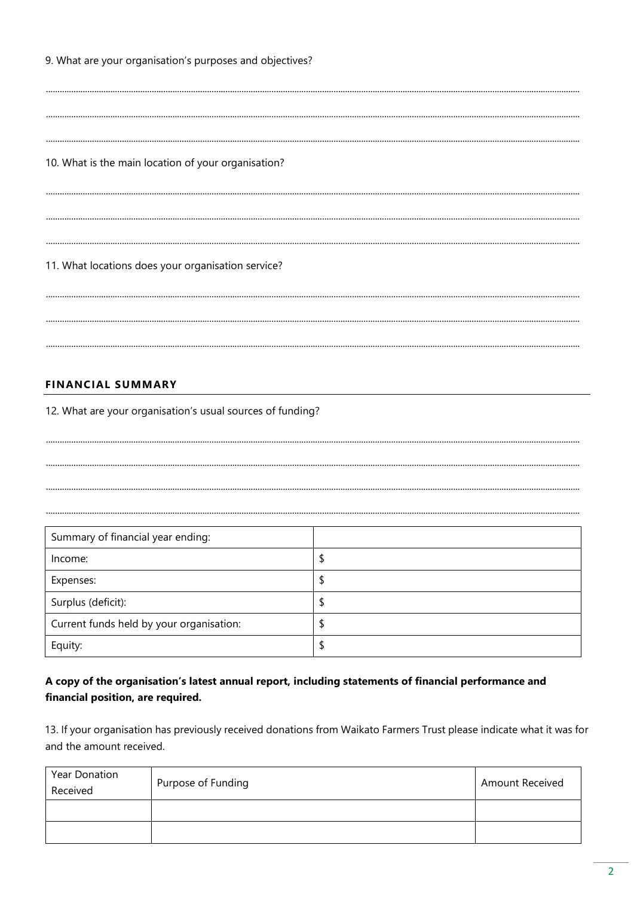9. What are your organisation's purposes and objectives?

10. What is the main location of your organisation?

11. What locations does your organisation service?

## **FINANCIAL SUMMARY**

12. What are your organisation's usual sources of funding?

Summary of financial year ending: \$ Income: Expenses:  $\hat{\mathcal{L}}$  $\frac{1}{2}$ Surplus (deficit): \$ Current funds held by your organisation:  $\overline{\mathsf{S}}$ Equity:

# A copy of the organisation's latest annual report, including statements of financial performance and financial position, are required.

13. If your organisation has previously received donations from Waikato Farmers Trust please indicate what it was for and the amount received.

| Year Donation<br>Received | Purpose of Funding | <b>Amount Received</b> |
|---------------------------|--------------------|------------------------|
|                           |                    |                        |
|                           |                    |                        |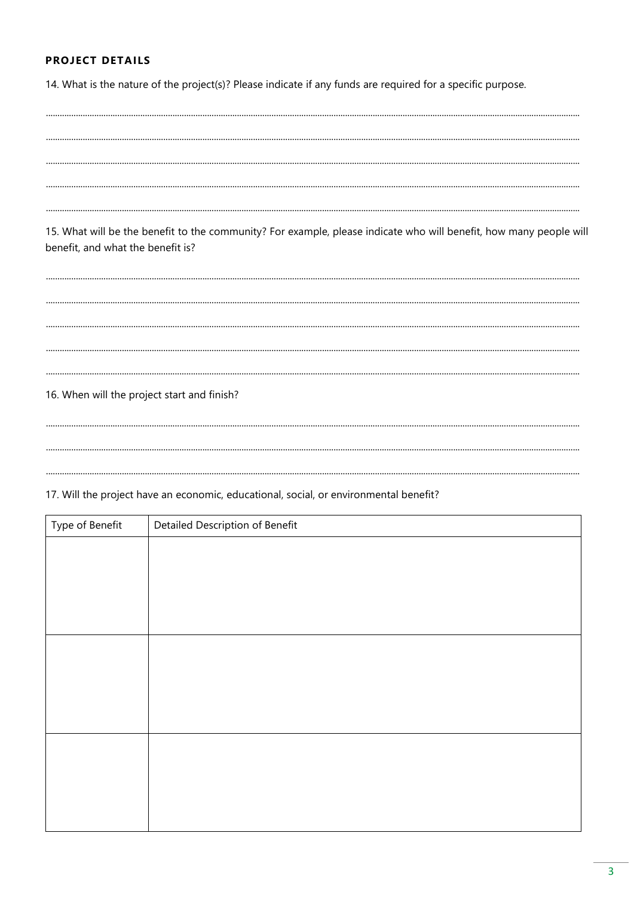#### **PROJECT DETAILS**

14. What is the nature of the project(s)? Please indicate if any funds are required for a specific purpose.

15. What will be the benefit to the community? For example, please indicate who will benefit, how many people will benefit, and what the benefit is? 16. When will the project start and finish? 17. Will the project have an economic, educational, social, or environmental benefit? Type of Benefit Detailed Description of Benefit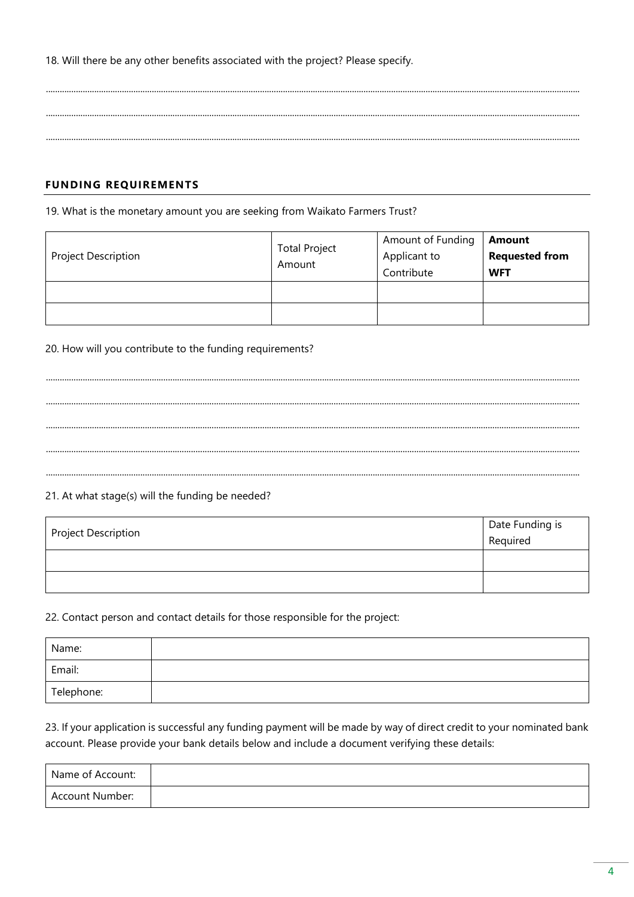18. Will there be any other benefits associated with the project? Please specify.

### **FUNDING REQUIREMENTS**

#### 19. What is the monetary amount you are seeking from Waikato Farmers Trust?

|                     | <b>Total Project</b><br>Amount | Amount of Funding | <b>Amount</b>         |
|---------------------|--------------------------------|-------------------|-----------------------|
| Project Description |                                | Applicant to      | <b>Requested from</b> |
|                     |                                | Contribute        | <b>WFT</b>            |
|                     |                                |                   |                       |
|                     |                                |                   |                       |

#### 20. How will you contribute to the funding requirements?

#### 21. At what stage(s) will the funding be needed?

| Project Description | Date Funding is<br>Required |
|---------------------|-----------------------------|
|                     |                             |
|                     |                             |

#### 22. Contact person and contact details for those responsible for the project:

| Name:      |  |
|------------|--|
| Email:     |  |
| Telephone: |  |

# 23. If your application is successful any funding payment will be made by way of direct credit to your nominated bank account. Please provide your bank details below and include a document verifying these details:

| Name of Account: |  |
|------------------|--|
| Account Number:  |  |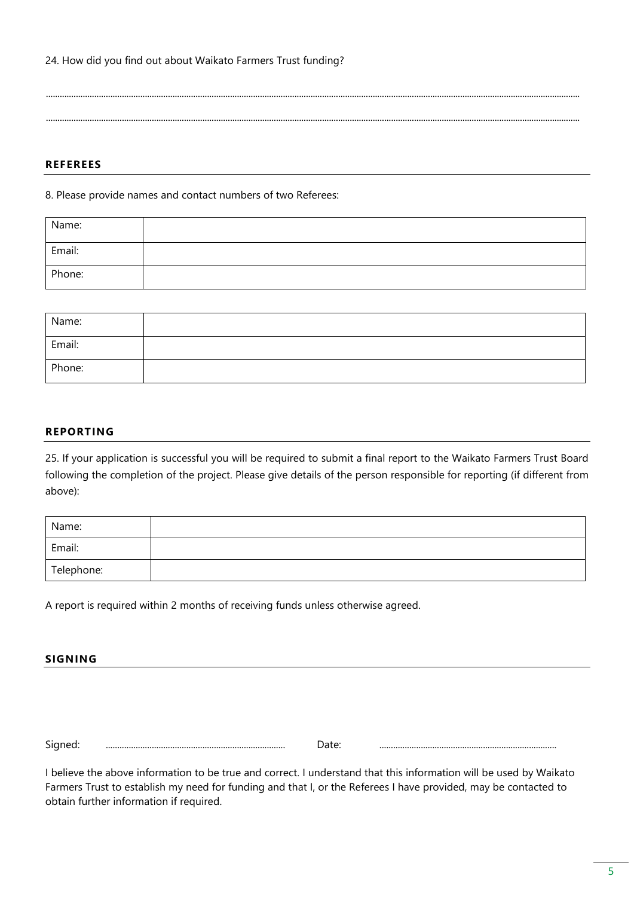#### **REFEREES**

8. Please provide names and contact numbers of two Referees:

| Name:  |  |
|--------|--|
| Email: |  |
| Phone: |  |

........................................................................................................................................................................................................................................

........................................................................................................................................................................................................................................

| Name:  |  |
|--------|--|
| Email: |  |
| Phone: |  |

#### **REPORTING**

25. If your application is successful you will be required to submit a final report to the Waikato Farmers Trust Board following the completion of the project. Please give details of the person responsible for reporting (if different from above):

| Name:      |  |
|------------|--|
| Email:     |  |
| Telephone: |  |

A report is required within 2 months of receiving funds unless otherwise agreed.

#### **SIGNING**

Signed: .............................................................................. Date: .............................................................................

I believe the above information to be true and correct. I understand that this information will be used by Waikato Farmers Trust to establish my need for funding and that I, or the Referees I have provided, may be contacted to obtain further information if required.